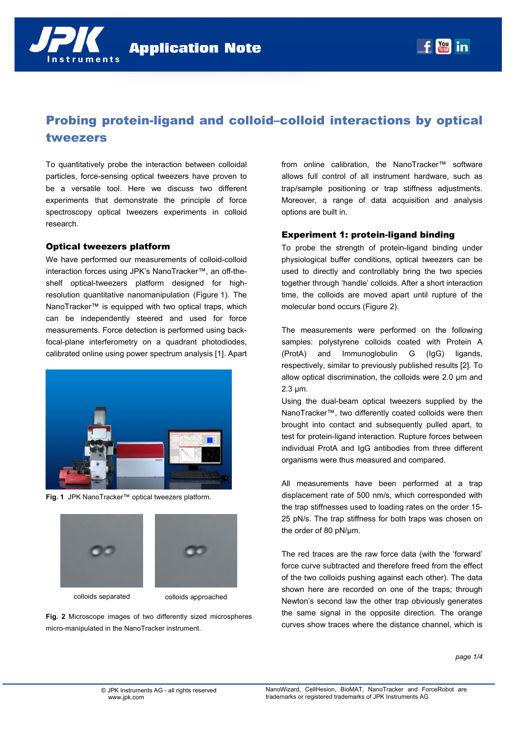

# Probing protein-ligand and colloid–colloid interactions by optical tweezers

To quantitatively probe the interaction between colloidal particles, force-sensing optical tweezers have proven to be a versatile tool. Here we discuss two different experiments that demonstrate the principle of force spectroscopy optical tweezers experiments in colloid research.

#### Optical tweezers platform

We have performed our measurements of colloid-colloid interaction forces using JPK's NanoTracker™, an off-theshelf optical-tweezers platform designed for highresolution quantitative nanomanipulation (Figure 1). The NanoTracker™ is equipped with two optical traps, which can be independently steered and used for force measurements. Force detection is performed using backfocal-plane interferometry on a quadrant photodiodes, calibrated online using power spectrum analysis [1]. Apart



**Fig. 1** JPK NanoTracker™ optical tweezers platform.





colloids separated colloids approached

**Fig. 2** Microscope images of two differently sized microspheres micro-manipulated in the NanoTracker instrument.

from online calibration, the NanoTracker™ software allows full control of all instrument hardware, such as trap/sample positioning or trap stiffness adjustments. Moreover, a range of data acquisition and analysis options are built in.

#### Experiment 1: protein-ligand binding

To probe the strength of protein-ligand binding under physiological buffer conditions, optical tweezers can be used to directly and controllably bring the two species together through 'handle' colloids. After a short interaction time, the colloids are moved apart until rupture of the molecular bond occurs (Figure 2).

The measurements were performed on the following samples: polystyrene colloids coated with Protein A (ProtA) and Immunoglobulin G (IgG) ligands, respectively, similar to previously published results [2]. To allow optical discrimination, the colloids were 2.0 µm and 2.3 µm.

Using the dual-beam optical tweezers supplied by the NanoTracker™, two differently coated colloids were then brought into contact and subsequently pulled apart, to test for protein-ligand interaction. Rupture forces between individual ProtA and IgG antibodies from three different organisms were thus measured and compared.

All measurements have been performed at a trap displacement rate of 500 nm/s, which corresponded with the trap stiffnesses used to loading rates on the order 15- 25 pN/s. The trap stiffness for both traps was chosen on the order of 80 pN/µm.

The red traces are the raw force data (with the 'forward' force curve subtracted and therefore freed from the effect of the two colloids pushing against each other). The data shown here are recorded on one of the traps; through Newton's second law the other trap obviously generates the same signal in the opposite direction. The orange curves show traces where the distance channel, which is

*page 1/4*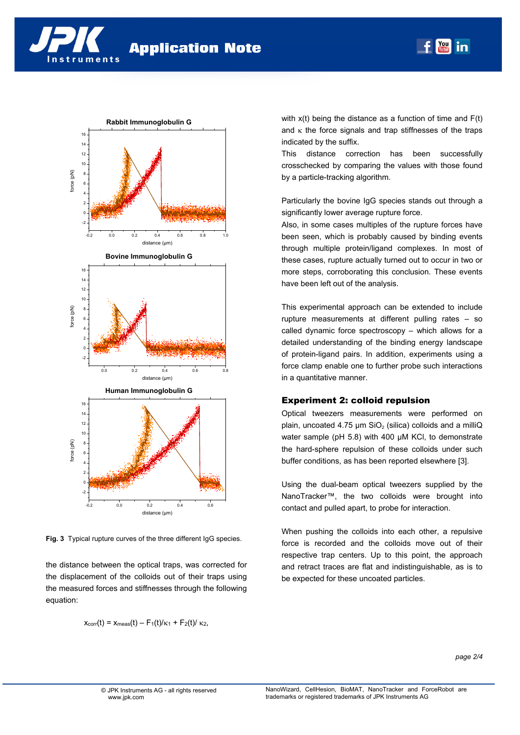



**Rabbit Immunoglobulin G** 

**Fig. 3** Typical rupture curves of the three different IgG species.

the distance between the optical traps, was corrected for the displacement of the colloids out of their traps using the measured forces and stiffnesses through the following equation:

$$
x_{corr}(t) = x_{meas}(t) - F_1(t)/\kappa_1 + F_2(t)/\kappa_2
$$

with  $x(t)$  being the distance as a function of time and  $F(t)$ and  $\kappa$  the force signals and trap stiffnesses of the traps indicated by the suffix.

You

This distance correction has been successfully crosschecked by comparing the values with those found by a particle-tracking algorithm.

Particularly the bovine IgG species stands out through a significantly lower average rupture force.

Also, in some cases multiples of the rupture forces have been seen, which is probably caused by binding events through multiple protein/ligand complexes. In most of these cases, rupture actually turned out to occur in two or more steps, corroborating this conclusion. These events have been left out of the analysis.

This experimental approach can be extended to include rupture measurements at different pulling rates – so called dynamic force spectroscopy – which allows for a detailed understanding of the binding energy landscape of protein-ligand pairs. In addition, experiments using a force clamp enable one to further probe such interactions in a quantitative manner.

## Experiment 2: colloid repulsion

Optical tweezers measurements were performed on plain, uncoated 4.75  $\mu$ m SiO<sub>2</sub> (silica) colloids and a milliQ water sample (pH 5.8) with 400 µM KCl, to demonstrate the hard-sphere repulsion of these colloids under such buffer conditions, as has been reported elsewhere [3].

Using the dual-beam optical tweezers supplied by the NanoTracker™, the two colloids were brought into contact and pulled apart, to probe for interaction.

When pushing the colloids into each other, a repulsive force is recorded and the colloids move out of their respective trap centers. Up to this point, the approach and retract traces are flat and indistinguishable, as is to be expected for these uncoated particles.

*page 2/4*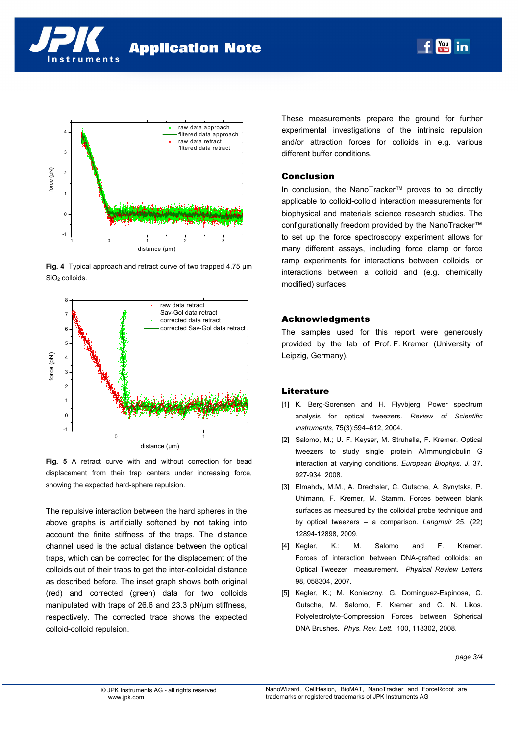



**Fig. 4** Typical approach and retract curve of two trapped 4.75 µm SiO<sub>2</sub> colloids.



**Fig. 5** A retract curve with and without correction for bead displacement from their trap centers under increasing force, showing the expected hard-sphere repulsion.

The repulsive interaction between the hard spheres in the above graphs is artificially softened by not taking into account the finite stiffness of the traps. The distance channel used is the actual distance between the optical traps, which can be corrected for the displacement of the colloids out of their traps to get the inter-colloidal distance as described before. The inset graph shows both original (red) and corrected (green) data for two colloids manipulated with traps of 26.6 and 23.3 pN/µm stiffness, respectively. The corrected trace shows the expected colloid-colloid repulsion.

These measurements prepare the ground for further experimental investigations of the intrinsic repulsion and/or attraction forces for colloids in e.g. various different buffer conditions.

# Conclusion

In conclusion, the NanoTracker™ proves to be directly applicable to colloid-colloid interaction measurements for biophysical and materials science research studies. The configurationally freedom provided by the NanoTracker™ to set up the force spectroscopy experiment allows for many different assays, including force clamp or force ramp experiments for interactions between colloids, or interactions between a colloid and (e.g. chemically modified) surfaces.

## Acknowledgments

The samples used for this report were generously provided by the lab of Prof. F. Kremer (University of Leipzig, Germany).

## **Literature**

- [1] K. Berg-Sorensen and H. Flyvbjerg. Power spectrum analysis for optical tweezers. *Review of Scientific Instruments*, 75(3):594–612, 2004.
- [2] Salomo, M.; U. F. Keyser, M. Struhalla, F. Kremer. Optical tweezers to study single protein A/Immunglobulin G interaction at varying conditions. *European Biophys. J.* 37, 927-934, 2008.
- [3] Elmahdy, M.M., A. Drechsler, C. Gutsche, A. Synytska, P. Uhlmann, F. Kremer, M. Stamm. Forces between blank surfaces as measured by the colloidal probe technique and by optical tweezers – a comparison. *Langmuir* 25, (22) 12894-12898, 2009.
- [4] Kegler, K.; M. Salomo and F. Kremer. Forces of interaction between DNA-grafted colloids: an Optical Tweezer measurement*. Physical Review Letters* 98, 058304, 2007.
- [5] Kegler, K.; M. Konieczny, G. Dominguez-Espinosa, C. Gutsche, M. Salomo, F. Kremer and C. N. Likos. Polyelectrolyte-Compression Forces between Spherical DNA Brushes*. Phys. Rev. Lett.* 100, 118302, 2008.

*page 3/4*